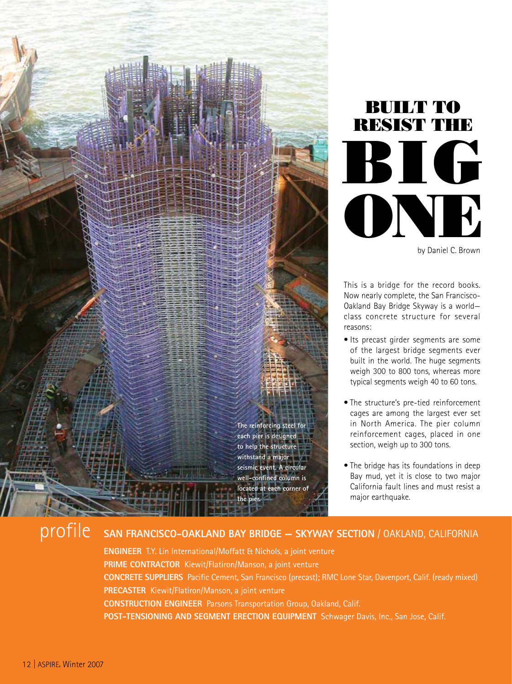



by Daniel C. Brown

This is a bridge for the record books. Now nearly complete, the San Francisco-Oakland Bay Bridge Skyway is a world class concrete structure for several reasons:

- Its precast girder segments are some of the largest bridge segments ever built in the world. The huge segments weigh 300 to 800 tons, whereas more typical segments weigh 40 to 60 tons.
- The structure's pre-tied reinforcement cages are among the largest ever set in North America. The pier column reinforcement cages, placed in one section, weigh up to 300 tons.
- The bridge has its foundations in deep Bay mud, yet it is close to two major California fault lines and must resist a major earthquake.

# profile **San Francisco-Oakland Bay Bridge — Skyway section** / Oakland, California

**Engineer** T.Y. Lin International/Moffatt & Nichols, a joint venture PRIME CONTRACTOR Kiewit/Flatiron/Manson, a joint venture **Concrete SupplierS** Pacific Cement, San Francisco (precast); RMC Lone Star, Davenport, Calif. (ready mixed) **Precaster** Kiewit/Flatiron/Manson, a joint venture **Construction Engineer** Parsons Transportation Group, Oakland, Calif. **Post-Tensioning and Segment Erection Equipment** Schwager Davis, Inc., San Jose, Calif.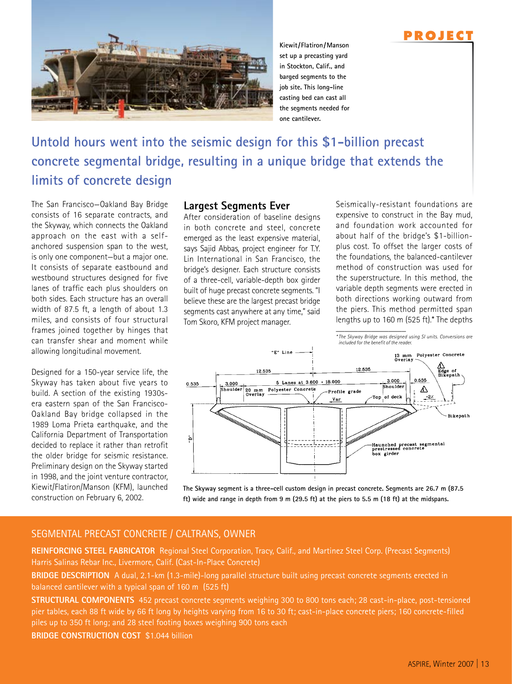

**Kiewit/Flatiron/Manson set up a precasting yard in Stockton, Calif., and barged segments to the job site. This long-line casting bed can cast all the segments needed for one cantilever.**

# **Untold hours went into the seismic design for this \$1-billion precast concrete segmental bridge, resulting in a unique bridge that extends the limits of concrete design**

The San Francisco—Oakland Bay Bridge consists of 16 separate contracts, and the Skyway, which connects the Oakland approach on the east with a selfanchored suspension span to the west, is only one component—but a major one. It consists of separate eastbound and westbound structures designed for five lanes of traffic each plus shoulders on both sides. Each structure has an overall width of 87.5 ft, a length of about 1.3 miles, and consists of four structural frames joined together by hinges that can transfer shear and moment while allowing longitudinal movement.

Designed for a 150-year service life, the Skyway has taken about five years to build. A section of the existing 1930sera eastern span of the San Francisco-Oakland Bay bridge collapsed in the 1989 Loma Prieta earthquake, and the California Department of Transportation decided to replace it rather than retrofit the older bridge for seismic resistance. Preliminary design on the Skyway started in 1998, and the joint venture contractor, Kiewit/Flatiron/Manson (KFM), launched construction on February 6, 2002.

#### **Largest Segments Ever**

After consideration of baseline designs in both concrete and steel, concrete emerged as the least expensive material, says Sajid Abbas, project engineer for T.Y. Lin International in San Francisco, the bridge's designer. Each structure consists of a three-cell, variable-depth box girder built of huge precast concrete segments. "I believe these are the largest precast bridge segments cast anywhere at any time," said Tom Skoro, KFM project manager.

Seismically-resistant foundations are expensive to construct in the Bay mud, and foundation work accounted for about half of the bridge's \$1-billionplus cost. To offset the larger costs of the foundations, the balanced-cantilever method of construction was used for the superstructure. In this method, the variable depth segments were erected in both directions working outward from the piers. This method permitted span lengths up to 160 m (525 ft).\* The depths  $\overline{\phantom{a}}$  ,  $\overline{\phantom{a}}$  ,  $\overline{\phantom{a}}$  ,  $\overline{\phantom{a}}$  ,  $\overline{\phantom{a}}$  ,  $\overline{\phantom{a}}$  ,  $\overline{\phantom{a}}$  ,  $\overline{\phantom{a}}$  ,  $\overline{\phantom{a}}$  ,  $\overline{\phantom{a}}$  ,  $\overline{\phantom{a}}$  ,  $\overline{\phantom{a}}$  ,  $\overline{\phantom{a}}$  ,  $\overline{\phantom{a}}$  ,  $\overline{\phantom{a}}$  ,  $\overline{\phantom{a}}$ 

**P RO J E C T**



**The Skyway segment is a three-cell custom design in precast concrete. Segments are 26.7 m (87.5 ft) wide and range in depth from 9 m (29.5 ft) at the piers to 5.5 m (18 ft) at the midspans.**

## Segmental precast concrete / CalTrans, Owner

**Reinforcing Steel Fabricator** Regional Steel Corporation, Tracy, Calif., and Martinez Steel Corp. (Precast Segments) Harris Salinas Rebar Inc., Livermore, Calif. (Cast-In-Place Concrete)

**BRIDGE DESCRIPTION** A dual, 2.1-km (1.3-mile)-long parallel structure built using precast concrete segments erected in balanced cantilever with a typical span of 160 m (525 ft)

**Structural Components** 452 precast concrete segments weighing 300 to 800 tons each; 28 cast-in-place, post-tensioned pier tables, each 88 ft wide by 66 ft long by heights varying from 16 to 30 ft; cast-in-place concrete piers; 160 concrete-filled piles up to 350 ft long; and 28 steel footing boxes weighing 900 tons each

**Bridge Construction Cost** \$1.044 billion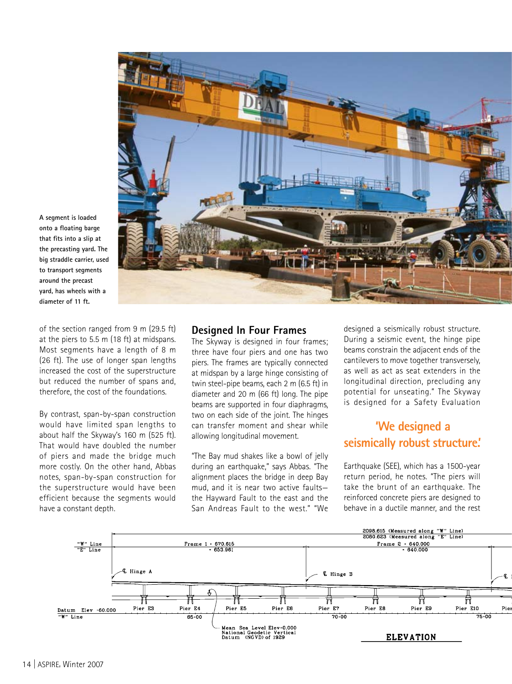

**A segment is loaded onto a floating barge that fits into a slip at the precasting yard. The big straddle carrier, used to transport segments around the precast yard, has wheels with a diameter of 11 ft.** 

of the section ranged from 9 m (29.5 ft) at the piers to 5.5 m (18 ft) at midspans. Most segments have a length of 8 m (26 ft). The use of longer span lengths increased the cost of the superstructure but reduced the number of spans and, therefore, the cost of the foundations.

By contrast, span-by-span construction would have limited span lengths to about half the Skyway's 160 m (525 ft). That would have doubled the number of piers and made the bridge much more costly. On the other hand, Abbas notes, span-by-span construction for the superstructure would have been efficient because the segments would have a constant depth.

#### **Designed In Four Frames**

The Skyway is designed in four frames; three have four piers and one has two piers. The frames are typically connected at midspan by a large hinge consisting of twin steel-pipe beams, each 2 m (6.5 ft) in diameter and 20 m (66 ft) long. The pipe beams are supported in four diaphragms, two on each side of the joint. The hinges can transfer moment and shear while allowing longitudinal movement.

"The Bay mud shakes like a bowl of jelly during an earthquake," says Abbas. "The alignment places the bridge in deep Bay mud, and it is near two active faults the Hayward Fault to the east and the San Andreas Fault to the west." "We

designed a seismically robust structure. During a seismic event, the hinge pipe beams constrain the adjacent ends of the cantilevers to move together transversely, as well as act as seat extenders in the longitudinal direction, precluding any potential for unseating." The Skyway is designed for a Safety Evaluation

## **'We designed a seismically robust structure.'**

Earthquake (SEE), which has a 1500-year return period, he notes. "The piers will take the brunt of an earthquake. The reinforced concrete piers are designed to behave in a ductile manner, and the rest

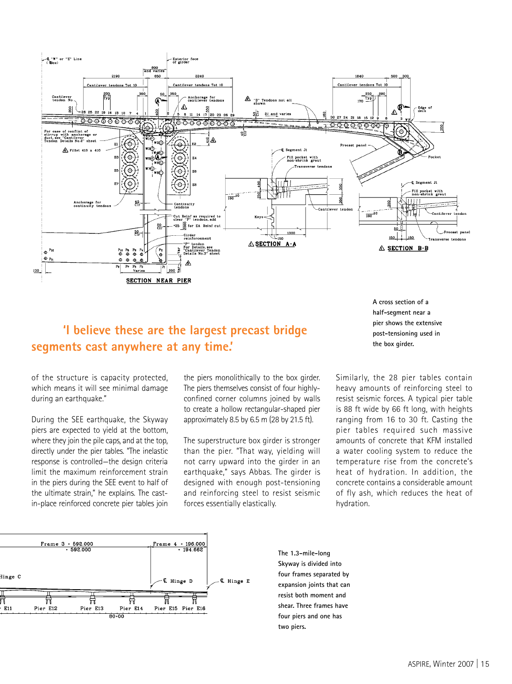

## **'I believe these are the largest precast bridge segments cast anywhere at any time.'**

of the structure is capacity protected, which means it will see minimal damage during an earthquake."

During the SEE earthquake, the Skyway piers are expected to yield at the bottom, where they join the pile caps, and at the top, directly under the pier tables. "The inelastic response is controlled—the design criteria limit the maximum reinforcement strain in the piers during the SEE event to half of the ultimate strain," he explains. The castin-place reinforced concrete pier tables join

the piers monolithically to the box girder. The piers themselves consist of four highlyconfined corner columns joined by walls to create a hollow rectangular-shaped pier approximately 8.5 by 6.5 m (28 by 21.5 ft).

The superstructure box girder is stronger than the pier. "That way, yielding will not carry upward into the girder in an earthquake," says Abbas. The girder is designed with enough post-tensioning and reinforcing steel to resist seismic forces essentially elastically.

**A cross section of a half-segment near a pier shows the extensive post-tensioning used in the box girder.**

Similarly, the 28 pier tables contain heavy amounts of reinforcing steel to resist seismic forces. A typical pier table is 88 ft wide by 66 ft long, with heights ranging from 16 to 30 ft. Casting the pier tables required such massive amounts of concrete that KFM installed a water cooling system to reduce the temperature rise from the concrete's heat of hydration. In addition, the concrete contains a considerable amount of fly ash, which reduces the heat of hydration.



**The 1.3-mile-long Skyway is divided into four frames separated by expansion joints that can resist both moment and shear. Three frames have four piers and one has two piers.**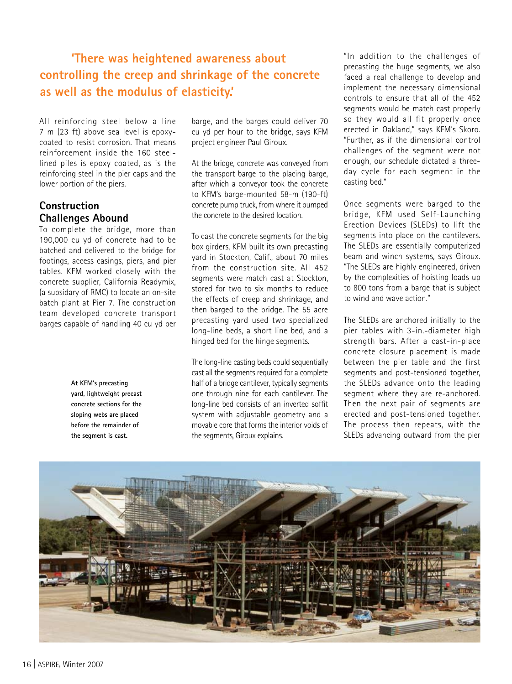## **'There was heightened awareness about controlling the creep and shrinkage of the concrete as well as the modulus of elasticity.'**

All reinforcing steel below a line 7 m (23 ft) above sea level is epoxycoated to resist corrosion. That means reinforcement inside the 160 steellined piles is epoxy coated, as is the reinforcing steel in the pier caps and the lower portion of the piers.

## **Construction Challenges Abound**

To complete the bridge, more than 190,000 cu yd of concrete had to be batched and delivered to the bridge for footings, access casings, piers, and pier tables. KFM worked closely with the concrete supplier, California Readymix, (a subsidary of RMC) to locate an on-site batch plant at Pier 7. The construction team developed concrete transport barges capable of handling 40 cu yd per

> **At KFM's precasting yard, lightweight precast concrete sections for the sloping webs are placed before the remainder of the segment is cast.**

barge, and the barges could deliver 70 cu yd per hour to the bridge, says KFM project engineer Paul Giroux.

At the bridge, concrete was conveyed from the transport barge to the placing barge, after which a conveyor took the concrete to KFM's barge-mounted 58-m (190-ft) concrete pump truck, from where it pumped the concrete to the desired location.

To cast the concrete segments for the big box girders, KFM built its own precasting yard in Stockton, Calif., about 70 miles from the construction site. All 452 segments were match cast at Stockton. stored for two to six months to reduce the effects of creep and shrinkage, and then barged to the bridge. The 55 acre precasting yard used two specialized long-line beds, a short line bed, and a hinged bed for the hinge segments.

The long-line casting beds could sequentially cast all the segments required for a complete half of a bridge cantilever, typically segments one through nine for each cantilever. The long-line bed consists of an inverted soffit system with adjustable geometry and a movable core that forms the interior voids of the segments, Giroux explains.

"In addition to the challenges of precasting the huge segments, we also faced a real challenge to develop and implement the necessary dimensional controls to ensure that all of the 452 segments would be match cast properly so they would all fit properly once erected in Oakland," says KFM's Skoro. "Further, as if the dimensional control challenges of the segment were not enough, our schedule dictated a threeday cycle for each segment in the casting bed."

Once segments were barged to the bridge, KFM used Self-Launching Erection Devices (SLEDs) to lift the segments into place on the cantilevers. The SLEDs are essentially computerized beam and winch systems, says Giroux. "The SLEDs are highly engineered, driven by the complexities of hoisting loads up to 800 tons from a barge that is subject to wind and wave action."

The SLEDs are anchored initially to the pier tables with 3-in.-diameter high strength bars. After a cast-in-place concrete closure placement is made between the pier table and the first segments and post-tensioned together, the SLEDs advance onto the leading segment where they are re-anchored. Then the next pair of segments are erected and post-tensioned together. The process then repeats, with the SLEDs advancing outward from the pier